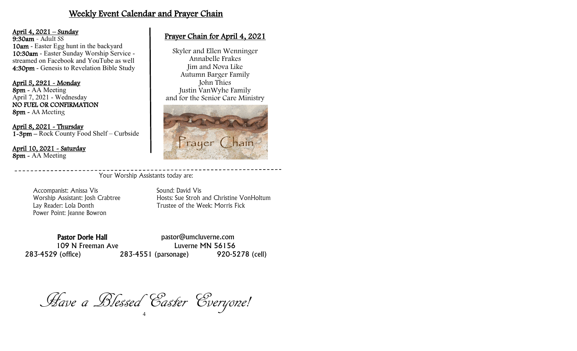### Weekly Event Calendar and Prayer Chain

#### April 4, 2021 – Sunday

9:30am - Adult SS 10am - Easter Egg hunt in the backyard 10:30am - Easter Sunday Worship Service streamed on Facebook and YouTube as well 4:30pm - Genesis to Revelation Bible Study

April 5, 2921 - Monday 8pm - AA Meeting April 7, 2021 - Wednesday NO FUEL OR CONFIRMATION 8pm - AA Meeting

April 8, 2021 - Thursday 1-3pm – Rock County Food Shelf – Curbside

April 10, 2021 - Saturday 8pm - AA Meeting

### Prayer Chain for April 4, 2021

Skyler and Ellen Wenninger Annabelle Frakes Jim and Nova Like Autumn Barger Family John Thies Justin VanWyhe Family and for the Senior Care Ministry



Your Worship Assistants today are:

Accompanist: Anissa Vis Sound: David Vis Power Point: Jeanne Bowron

Worship Assistant: Josh Crabtree Hosts: Sue Stroh and Christine VonHoltum Lay Reader: Lola Donth Trustee of the Week: Morris Fick

283-4529 (office) 283-4551 (parsonage) 920-5278 (cell)

Pastor Dorie Hall **Pastor** pastor@umcluverne.com 109 N Freeman Ave Luverne MN 56156

4 Have a Blessed Easter Everyone!